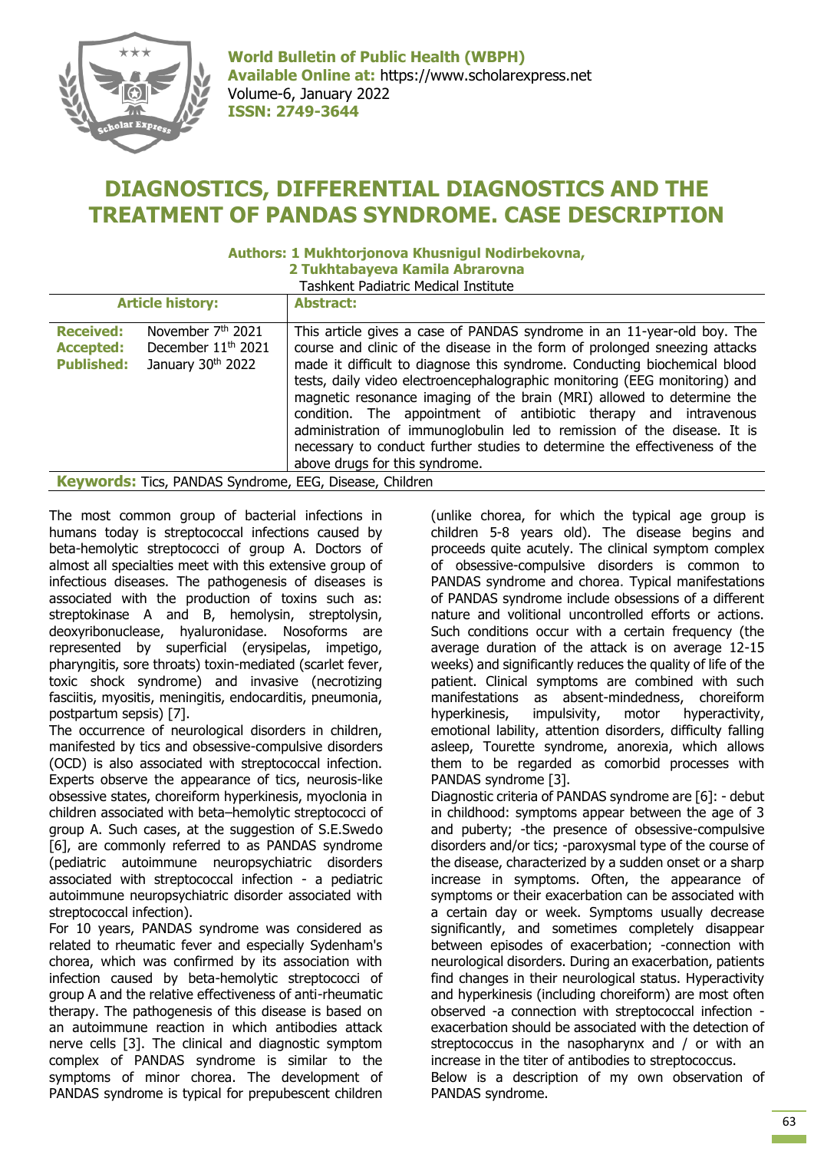

**World Bulletin of Public Health (WBPH) Available Online at:** https://www.scholarexpress.net Volume-6, January 2022 **ISSN: 2749-3644**

## **DIAGNOSTICS, DIFFERENTIAL DIAGNOSTICS AND THE TREATMENT OF PANDAS SYNDROME. CASE DESCRIPTION**

## **Authors: 1 Mukhtorjonova Khusnigul Nodirbekovna,**

**2 Tukhtabayeva Kamila Abrarovna** Tashkent Padiatric Medical Institute

| <b>Article history:</b>                                                                                                                           | <b>Abstract:</b>                                                                                                                                                                                                                                                                                                                                                                                                                                                                                                                                                                                                                                          |
|---------------------------------------------------------------------------------------------------------------------------------------------------|-----------------------------------------------------------------------------------------------------------------------------------------------------------------------------------------------------------------------------------------------------------------------------------------------------------------------------------------------------------------------------------------------------------------------------------------------------------------------------------------------------------------------------------------------------------------------------------------------------------------------------------------------------------|
| November 7 <sup>th</sup> 2021<br><b>Received:</b><br>December 11 <sup>th</sup> 2021<br><b>Accepted:</b><br><b>Published:</b><br>January 30th 2022 | This article gives a case of PANDAS syndrome in an 11-year-old boy. The<br>course and clinic of the disease in the form of prolonged sneezing attacks<br>made it difficult to diagnose this syndrome. Conducting biochemical blood<br>tests, daily video electroencephalographic monitoring (EEG monitoring) and<br>magnetic resonance imaging of the brain (MRI) allowed to determine the<br>condition. The appointment of antibiotic therapy and intravenous<br>administration of immunoglobulin led to remission of the disease. It is<br>necessary to conduct further studies to determine the effectiveness of the<br>above drugs for this syndrome. |
| <b>Keywords:</b> Tics, PANDAS Syndrome, EEG, Disease, Children                                                                                    |                                                                                                                                                                                                                                                                                                                                                                                                                                                                                                                                                                                                                                                           |

The most common group of bacterial infections in humans today is streptococcal infections caused by beta-hemolytic streptococci of group A. Doctors of almost all specialties meet with this extensive group of infectious diseases. The pathogenesis of diseases is associated with the production of toxins such as: streptokinase A and B, hemolysin, streptolysin, deoxyribonuclease, hyaluronidase. Nosoforms are represented by superficial (erysipelas, impetigo, pharyngitis, sore throats) toxin-mediated (scarlet fever, toxic shock syndrome) and invasive (necrotizing fasciitis, myositis, meningitis, endocarditis, pneumonia, postpartum sepsis) [7].

The occurrence of neurological disorders in children, manifested by tics and obsessive-compulsive disorders (OCD) is also associated with streptococcal infection. Experts observe the appearance of tics, neurosis-like obsessive states, choreiform hyperkinesis, myoclonia in children associated with beta–hemolytic streptococci of group A. Such cases, at the suggestion of S.E.Swedo [6], are commonly referred to as PANDAS syndrome (pediatric autoimmune neuropsychiatric disorders associated with streptococcal infection - a pediatric autoimmune neuropsychiatric disorder associated with streptococcal infection).

For 10 years, PANDAS syndrome was considered as related to rheumatic fever and especially Sydenham's chorea, which was confirmed by its association with infection caused by beta-hemolytic streptococci of group A and the relative effectiveness of anti-rheumatic therapy. The pathogenesis of this disease is based on an autoimmune reaction in which antibodies attack nerve cells [3]. The clinical and diagnostic symptom complex of PANDAS syndrome is similar to the symptoms of minor chorea. The development of PANDAS syndrome is typical for prepubescent children (unlike chorea, for which the typical age group is children 5-8 years old). The disease begins and proceeds quite acutely. The clinical symptom complex of obsessive-compulsive disorders is common to PANDAS syndrome and chorea. Typical manifestations of PANDAS syndrome include obsessions of a different nature and volitional uncontrolled efforts or actions. Such conditions occur with a certain frequency (the average duration of the attack is on average 12-15 weeks) and significantly reduces the quality of life of the patient. Clinical symptoms are combined with such manifestations as absent-mindedness, choreiform hyperkinesis, impulsivity, motor hyperactivity, emotional lability, attention disorders, difficulty falling asleep, Tourette syndrome, anorexia, which allows them to be regarded as comorbid processes with PANDAS syndrome [3]. Diagnostic criteria of PANDAS syndrome are [6]: - debut in childhood: symptoms appear between the age of 3

and puberty; -the presence of obsessive-compulsive disorders and/or tics; -paroxysmal type of the course of the disease, characterized by a sudden onset or a sharp increase in symptoms. Often, the appearance of symptoms or their exacerbation can be associated with a certain day or week. Symptoms usually decrease significantly, and sometimes completely disappear between episodes of exacerbation; -connection with neurological disorders. During an exacerbation, patients find changes in their neurological status. Hyperactivity and hyperkinesis (including choreiform) are most often observed -a connection with streptococcal infection exacerbation should be associated with the detection of streptococcus in the nasopharynx and / or with an increase in the titer of antibodies to streptococcus. Below is a description of my own observation of PANDAS syndrome.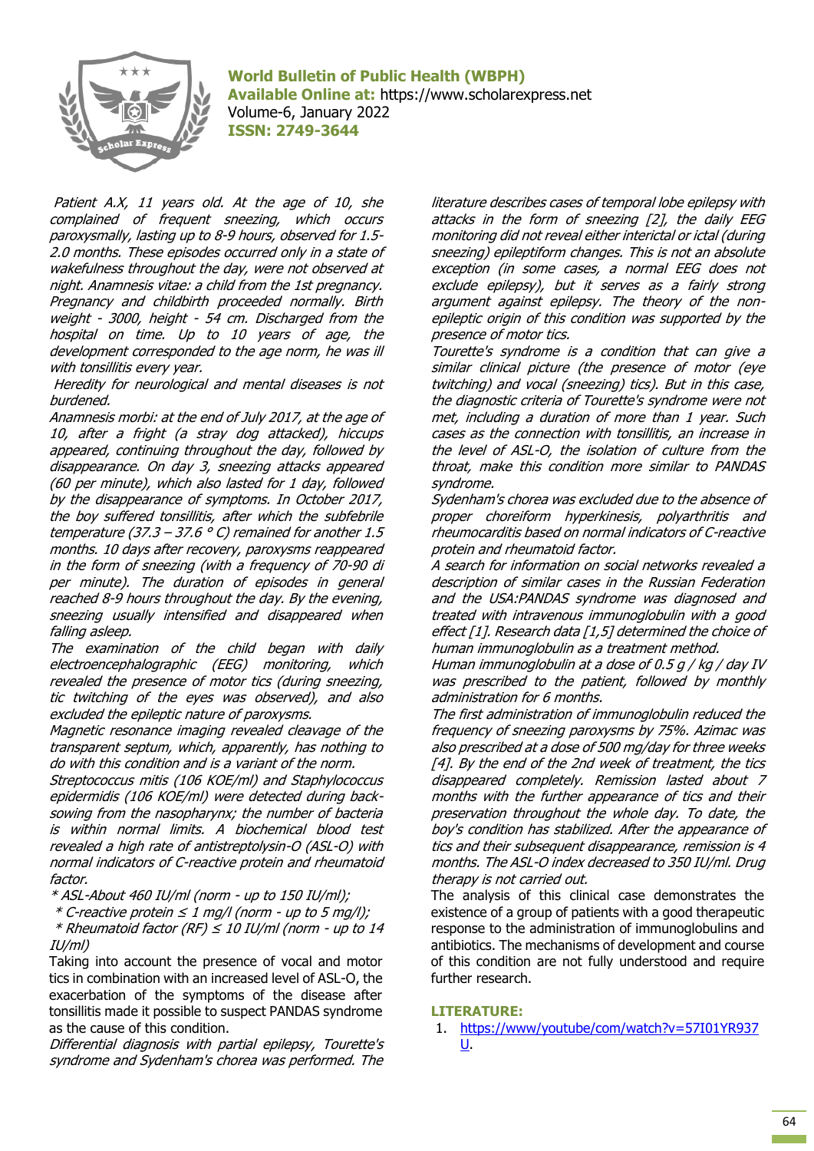

**World Bulletin of Public Health (WBPH) Available Online at:** https://www.scholarexpress.net Volume-6, January 2022 **ISSN: 2749-3644**

Patient A.X, 11 years old. At the age of 10, she complained of frequent sneezing, which occurs paroxysmally, lasting up to 8-9 hours, observed for 1.5- 2.0 months. These episodes occurred only in a state of wakefulness throughout the day, were not observed at night. Anamnesis vitae: a child from the 1st pregnancy. Pregnancy and childbirth proceeded normally. Birth weight - 3000, height - 54 cm. Discharged from the hospital on time. Up to 10 years of age, the development corresponded to the age norm, he was ill with tonsillitis every year.

Heredity for neurological and mental diseases is not burdened.

Anamnesis morbi: at the end of July 2017, at the age of 10, after a fright (a stray dog attacked), hiccups appeared, continuing throughout the day, followed by disappearance. On day 3, sneezing attacks appeared (60 per minute), which also lasted for 1 day, followed by the disappearance of symptoms. In October 2017, the boy suffered tonsillitis, after which the subfebrile temperature (37.3 – 37.6  $\degree$  C) remained for another 1.5 months. 10 days after recovery, paroxysms reappeared in the form of sneezing (with a frequency of 70-90 di per minute). The duration of episodes in general reached 8-9 hours throughout the day. By the evening, sneezing usually intensified and disappeared when falling asleep.

The examination of the child began with daily electroencephalographic (EEG) monitoring, which revealed the presence of motor tics (during sneezing, tic twitching of the eyes was observed), and also excluded the epileptic nature of paroxysms.

Magnetic resonance imaging revealed cleavage of the transparent septum, which, apparently, has nothing to do with this condition and is a variant of the norm.

Streptococcus mitis (106 KOE/ml) and Staphylococcus epidermidis (106 KOE/ml) were detected during backsowing from the nasopharynx; the number of bacteria is within normal limits. A biochemical blood test revealed a high rate of antistreptolysin-O (ASL-O) with normal indicators of C-reactive protein and rheumatoid factor.

\* ASL-About 460 IU/ml (norm - up to 150 IU/ml);

\* C-reactive protein ≤ 1 mg/l (norm - up to 5 mg/l);

 $*$  Rheumatoid factor (RF)  $\leq$  10 IU/ml (norm - up to 14 IU/ml)

Taking into account the presence of vocal and motor tics in combination with an increased level of ASL-O, the exacerbation of the symptoms of the disease after tonsillitis made it possible to suspect PANDAS syndrome as the cause of this condition.

Differential diagnosis with partial epilepsy, Tourette's syndrome and Sydenham's chorea was performed. The

literature describes cases of temporal lobe epilepsy with attacks in the form of sneezing [2], the daily EEG monitoring did not reveal either interictal or ictal (during sneezing) epileptiform changes. This is not an absolute exception (in some cases, a normal EEG does not exclude epilepsy), but it serves as a fairly strong argument against epilepsy. The theory of the nonepileptic origin of this condition was supported by the presence of motor tics.

Tourette's syndrome is a condition that can give a similar clinical picture (the presence of motor (eye twitching) and vocal (sneezing) tics). But in this case, the diagnostic criteria of Tourette's syndrome were not met, including a duration of more than 1 year. Such cases as the connection with tonsillitis, an increase in the level of ASL-O, the isolation of culture from the throat, make this condition more similar to PANDAS syndrome.

Sydenham's chorea was excluded due to the absence of proper choreiform hyperkinesis, polyarthritis and rheumocarditis based on normal indicators of C-reactive protein and rheumatoid factor.

A search for information on social networks revealed a description of similar cases in the Russian Federation and the USA:PANDAS syndrome was diagnosed and treated with intravenous immunoglobulin with a good effect [1]. Research data [1,5] determined the choice of human immunoglobulin as a treatment method.

Human immunoglobulin at a dose of 0.5  $q$  / kg / day IV was prescribed to the patient, followed by monthly administration for 6 months.

The first administration of immunoglobulin reduced the frequency of sneezing paroxysms by 75%. Azimac was also prescribed at a dose of 500 mg/day for three weeks [4]. By the end of the 2nd week of treatment, the tics disappeared completely. Remission lasted about 7 months with the further appearance of tics and their preservation throughout the whole day. To date, the boy's condition has stabilized. After the appearance of tics and their subsequent disappearance, remission is 4 months. The ASL-O index decreased to 350 IU/ml. Drug therapy is not carried out.

The analysis of this clinical case demonstrates the existence of a group of patients with a good therapeutic response to the administration of immunoglobulins and antibiotics. The mechanisms of development and course of this condition are not fully understood and require further research.

## **LITERATURE:**

1. [https://www/youtube/com/watch?v=57I01YR937](https://www/youtube/com/watch?v=57I01YR937U) [U.](https://www/youtube/com/watch?v=57I01YR937U)